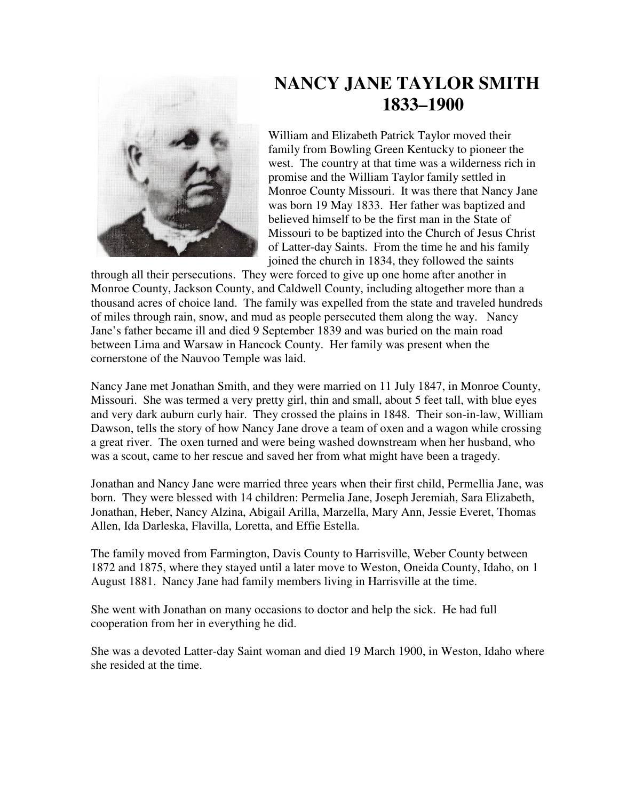

## **NANCY JANE TAYLOR SMITH 1833–1900**

William and Elizabeth Patrick Taylor moved their family from Bowling Green Kentucky to pioneer the west. The country at that time was a wilderness rich in promise and the William Taylor family settled in Monroe County Missouri. It was there that Nancy Jane was born 19 May 1833. Her father was baptized and believed himself to be the first man in the State of Missouri to be baptized into the Church of Jesus Christ of Latter-day Saints. From the time he and his family joined the church in 1834, they followed the saints

through all their persecutions. They were forced to give up one home after another in Monroe County, Jackson County, and Caldwell County, including altogether more than a thousand acres of choice land. The family was expelled from the state and traveled hundreds of miles through rain, snow, and mud as people persecuted them along the way. Nancy Jane's father became ill and died 9 September 1839 and was buried on the main road between Lima and Warsaw in Hancock County. Her family was present when the cornerstone of the Nauvoo Temple was laid.

Nancy Jane met Jonathan Smith, and they were married on 11 July 1847, in Monroe County, Missouri. She was termed a very pretty girl, thin and small, about 5 feet tall, with blue eyes and very dark auburn curly hair. They crossed the plains in 1848. Their son-in-law, William Dawson, tells the story of how Nancy Jane drove a team of oxen and a wagon while crossing a great river. The oxen turned and were being washed downstream when her husband, who was a scout, came to her rescue and saved her from what might have been a tragedy.

Jonathan and Nancy Jane were married three years when their first child, Permellia Jane, was born. They were blessed with 14 children: Permelia Jane, Joseph Jeremiah, Sara Elizabeth, Jonathan, Heber, Nancy Alzina, Abigail Arilla, Marzella, Mary Ann, Jessie Everet, Thomas Allen, Ida Darleska, Flavilla, Loretta, and Effie Estella.

The family moved from Farmington, Davis County to Harrisville, Weber County between 1872 and 1875, where they stayed until a later move to Weston, Oneida County, Idaho, on 1 August 1881. Nancy Jane had family members living in Harrisville at the time.

She went with Jonathan on many occasions to doctor and help the sick. He had full cooperation from her in everything he did.

She was a devoted Latter-day Saint woman and died 19 March 1900, in Weston, Idaho where she resided at the time.